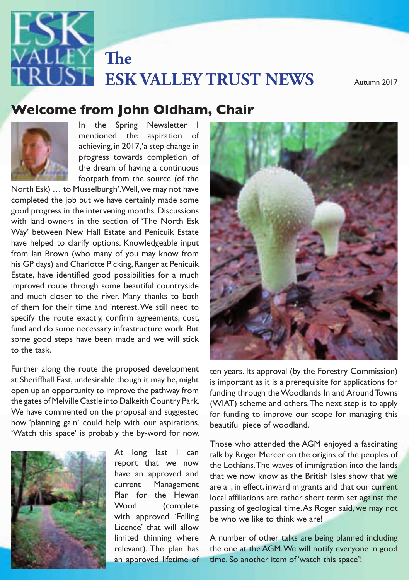

# **ESK VALLEY TRUST NEWS** Autumn 2017

## **Welcome from John Oldham, Chair**<br>————————————————————



The dream of having a continuous<br>footpath from the source (of the In the Spring Newsletter I mentioned the aspiration of achieving, in 2017, 'a step change in progress towards completion of the dream of having a continuous

with land-owners in the section of 'The North Esk Estate, have identified good possibilities for a much specify the route exactly, confirm agreements, cost, to the task. North Esk) … to Musselburgh'. Well, we may not have good progress in the intervening months. Discussions Way' between New Hall Estate and Penicuik Estate from Ian Brown (who many of you may know from and much closer to the river. Many thanks to both fund and do some necessary infrastructure work. But

Further along the route the proposed development the vears its approval (by the Forestry Commission) at Sheriffhall East, undesirable though it may be, might in suppresented up the control of the council communi the gates of Melville Castle into Dalkeith Country Park. (WIAT) scheme and others. The next step is to apply we have commented on the proposar and suggested<br>how 'planning gain' could help with our aspirations. open up an opportunity to improve the pathway from the gates of Melville Castle into Dalkeith Country Park. We have commented on the proposal and suggested 'Watch this space' is probably the by-word for now.



<sup>the</sup> it approved to emission be who we like to the Licence' that will allow At long last I can report that we now have an approved and current Management Plan for the Hewan Wood (complete with approved 'Felling limited thinning where relevant). The plan has an approved lifetime of



ten years. Its approval (by the Forestry Commission) is important as it is a prerequisite for applications for funding through the Woodlands In and Around Towns for funding to improve our scope for managing this beautiful piece of woodland.

The waves of immigration into the lands<br>have an approved and the Lothians. The waves of immigration into the lands network Partnership of the plan is to make include the plan include the plan include the plan is to make it and that our current Those who attended the AGM enjoyed a fascinating talk by Roger Mercer on the origins of the peoples of that we now know as the British Isles show that we local affiliations are rather short term set against the passing of geological time. As Roger said, we may not be who we like to think we are!

**EXAMPLE SO THAT WE COULD, FOR EXAMPLE, FOR EXAMPLE, FOR EXAMPLE, FOR EXAMPLE, FOR EXAMPLE, FOR EXAMPLE, FOR EXAMPLE, FOR EXAMPLE, FOR EXAMPLE, FOR EXAMPLE, FOR EXAMPLE, FOR EXAMPLE, FOR EXAMPLE, FOR EXAMPLE, FOR EXAMPLE,** valleys are useful for the plannings and the one at the AGPL version foully everyone in good<br>and principal fietime of time. So another item of 'watch this space'! the one at the AGM. We will notify everyone in good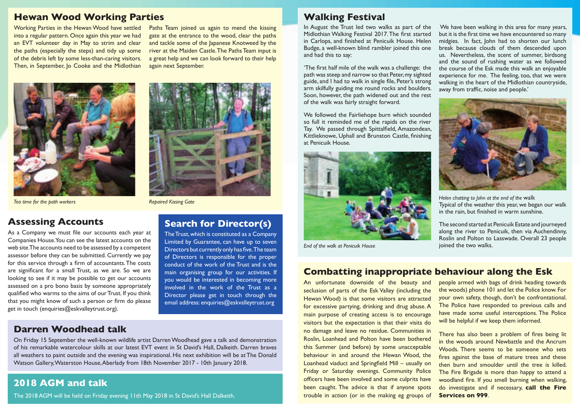## **Hewan Wood Working Parties**

Working Parties in the Hewan Wood have settled into a regular pattern. Once again this year we had an EVT volunteer day in May to strim and clear the paths (especially the steps) and tidy up some of the debris left by some less-than-caring visitors. Then, in September, Jo Cooke and the Midlothian

Paths Team joined us again to mend the kissing gate at the entrance to the wood, clear the paths and tackle some of the Japanese Knotweed by the river at the Maiden Castle. The Paths Team input is a great help and we can look forward to their help again next September.





#### **Assessing Accounts**

As a Company we must file our accounts each year at Companies House. You can see the latest accounts on the web site. The accounts need to be assessed by a competent assessor before they can be submitted. Currently we pay for this service through a firm of accountants. The costs are significant for a small Trust, as we are. So we are looking to see if it may be possible to get our accounts assessed on a pro bono basis by someone appropriately qualified who warms to the aims of our Trust. If you think that you might know of such a person or firm do please get in touch (enquiries@eskvalleytrust.org).

#### **Darren Woodhead talk**

## **Search for Director(s)**

The Trust, which is constituted as a Company Limited by Guarantee, can have up to seven Directors but currently only has five. The team of Directors is responsible for the proper conduct of the work of the Trust and is the main organising group for our activities. If you would be interested in becoming more involved in the work of the Trust as a Director please get in touch through the email address: enquiries@eskvalleytrust.org

#### On Friday 15 September the well-known wildlife artist Darren Woodhead gave a talk and demonstration of his remarkable watercolour skills at our latest EVT event in St David's Hall, Dalkeith. Darren braves all weathers to paint outside and the evening was inspirational. His next exhibition will be at The Donald Watson Gallery, Waterston House, Aberlady from 18th November 2017 - 10th January 2018.

## **2018 AGM and talk**

The 2018 AGM will be held on Friday evening 11th May 2018 in St David's Hall Dalkeith.

## **Walking Festival**

In August the Trust led two walks as part of the Midlothian Walking Festival 2017. The first started in Carlops, and finished at Penicuik House. Helen Budge, a well-known blind rambler joined this one and had this to say:

'The first half mile of the walk was a challenge: the path was steep and narrow so that Peter, my sighted guide, and I had to walk in single file, Peter's strong arm skilfully guiding me round rocks and boulders. Soon, however, the path widened out and the rest of the walk was fairly straight forward.

We followed the Fairliehope burn which sounded so full it reminded me of the rapids on the river Tay. We passed through Spittalfield, Amazondean, Kittlieknowe, Uphall and Brunston Castle, finishing at Penicuik House.



*End of the walk at Penicuik House*

#### **Combatting inappropriate behaviour along the Esk**

An unfortunate downside of the beauty and seclusion of parts of the Esk Valley (including the Hewan Wood) is that some visitors are attracted for excessive partying, drinking and drug abuse. A main purpose of creating access is to encourage visitors but the expectation is that their visits do no damage and leave no residue. Communities in Roslin, Loanhead and Polton have been bothered this Summer (and before) by some unacceptable behaviour in and around the Hewan Wood, the Loanhead viaduct and Springfield Mill – usually on Friday or Saturday evenings. Community Police officers have been involved and some culprits have been caught. The advice is that if anyone spots trouble in action (or in the making eg groups of

We have been walking in this area for many years, but it is the first time we have encountered so many midgies. In fact, John had to shorten our lunch break because clouds of them descended upon us. Nevertheless, the scent of summer, birdsong and the sound of rushing water as we followed the course of the Esk made this walk an enjoyable experience for me. The feeling, too, that we were walking in the heart of the Midlothian countryside, away from traffic, noise and people.'



Typical of the weather this year, we began our walk in the rain, but finished in warm sunshine.

The second started at Penicuik Estate and journeyed along the river to Penicuik, then via Auchendinny, Roslin and Polton to Lasswade. Overall 23 people joined the two walks.

people armed with bags of drink heading towards the woods) phone 101 and let the Police know. For your own safety, though, don't be confrontational. The Police have responded to previous calls and have made some useful interceptions. The Police will be helpful if we keep them informed.

There has also been a problem of fires being lit in the woods around Newbattle and the Ancrum Woods. There seems to be someone who sets fires against the base of mature trees and these then burn and smoulder until the tree is killed. The Fire Brigade is more than happy to attend a woodland fire. If you smell burning when walking, do investigate and if necessary, **call the Fire Services on 999**.